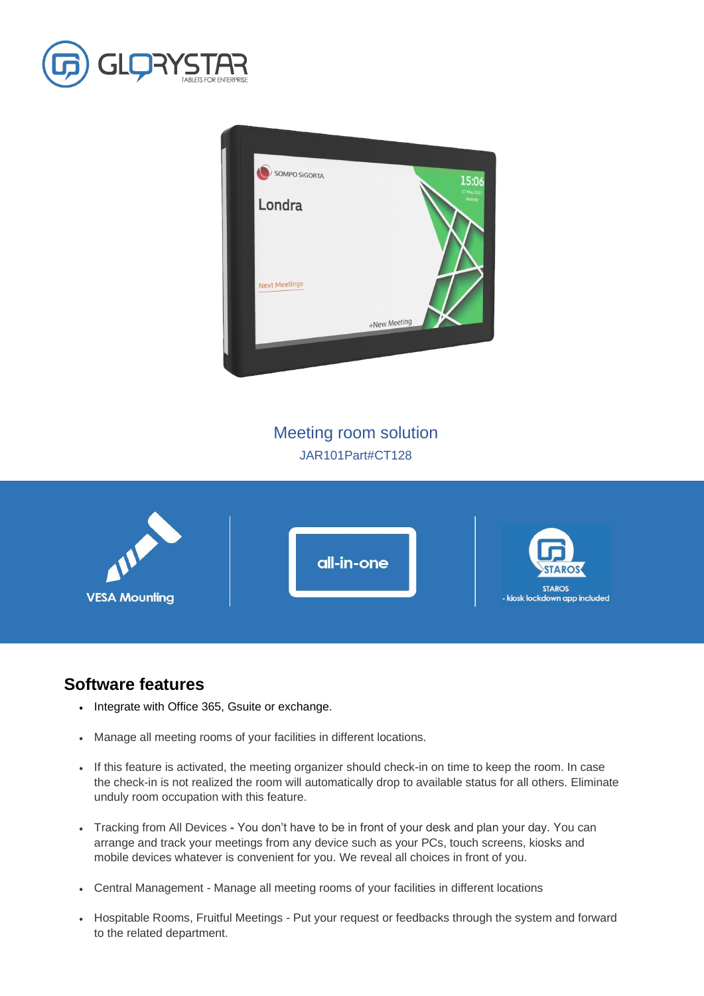



Meeting room solution JAR101Part#CT128



## **Software features**

- Integrate with Office 365, Gsuite or exchange.
- Manage all meeting rooms of your facilities in different locations.
- If this feature is activated, the meeting organizer should check-in on time to keep the room. In case the check-in is not realized the room will automatically drop to available status for all others. Eliminate unduly room occupation with this feature.
- Tracking from All Devices **-** You don't have to be in front of your desk and plan your day. You can arrange and track your meetings from any device such as your PCs, touch screens, kiosks and mobile devices whatever is convenient for you. We reveal all choices in front of you.
- Central Management Manage all meeting rooms of your facilities in different locations
- Hospitable Rooms, Fruitful Meetings Put your request or feedbacks through the system and forward to the related department.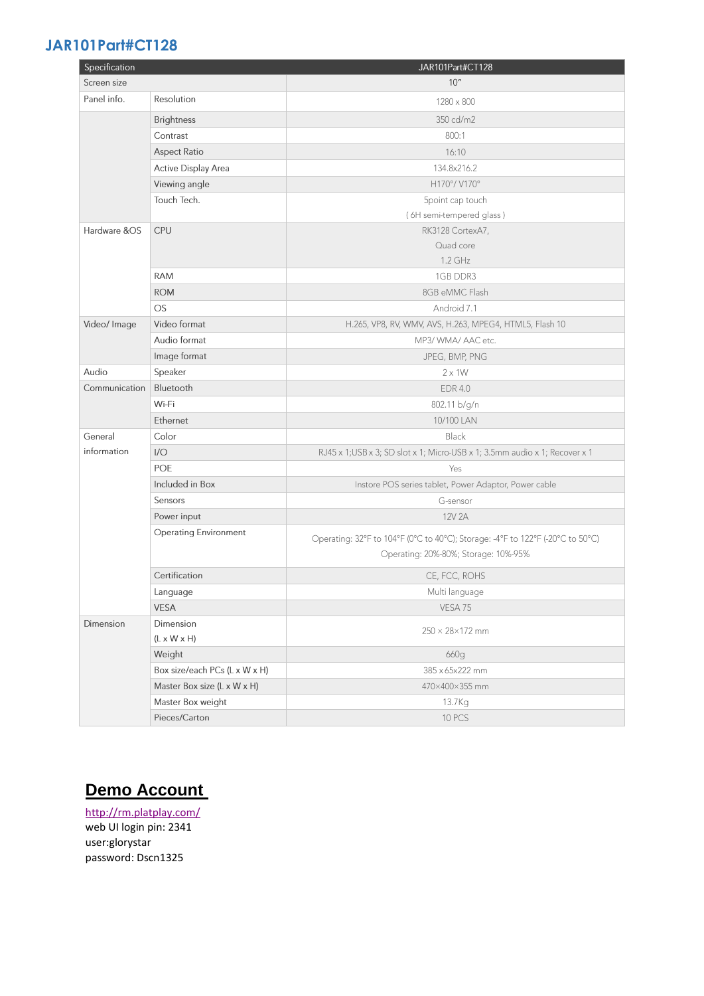## **JAR101Part#CT128**

| Specification |                               | JAR101Part#CT128                                                               |  |
|---------------|-------------------------------|--------------------------------------------------------------------------------|--|
| Screen size   |                               | 10''                                                                           |  |
| Panel info.   | Resolution                    | 1280 × 800                                                                     |  |
|               | <b>Brightness</b>             | 350 cd/m2                                                                      |  |
|               | Contrast                      | 800:1                                                                          |  |
|               | <b>Aspect Ratio</b>           | 16:10                                                                          |  |
|               | <b>Active Display Area</b>    | 134.8x216.2                                                                    |  |
|               | Viewing angle                 | H170°/V170°                                                                    |  |
|               | Touch Tech.                   | 5point cap touch                                                               |  |
|               |                               | (6H semi-tempered glass)                                                       |  |
| Hardware &OS  | <b>CPU</b>                    | RK3128 CortexA7,                                                               |  |
|               |                               | Quad core                                                                      |  |
|               |                               | 1.2 GHz                                                                        |  |
|               | <b>RAM</b>                    | 1GB DDR3                                                                       |  |
|               | <b>ROM</b>                    | 8GB eMMC Flash                                                                 |  |
|               | <b>OS</b>                     | Android 7.1                                                                    |  |
| Video/ Image  | Video format                  | H.265, VP8, RV, WMV, AVS, H.263, MPEG4, HTML5, Flash 10                        |  |
|               | Audio format                  | MP3/ WMA/ AAC etc.                                                             |  |
|               | Image format                  | JPEG, BMP, PNG                                                                 |  |
| Audio         | Speaker                       | $2 \times 1W$                                                                  |  |
| Communication | Bluetooth                     | <b>EDR 4.0</b>                                                                 |  |
|               | Wi-Fi                         | 802.11 b/g/n                                                                   |  |
|               | Ethernet                      | 10/100 LAN                                                                     |  |
| General       | Color                         | Black                                                                          |  |
| information   | 1/O                           | RJ45 x 1; USB x 3; SD slot x 1; Micro-USB x 1; 3.5mm audio x 1; Recover x 1    |  |
|               | POE                           | Yes                                                                            |  |
|               | Included in Box               | Instore POS series tablet, Power Adaptor, Power cable                          |  |
|               | Sensors                       | G-sensor                                                                       |  |
|               | Power input                   | 12V 2A                                                                         |  |
|               | <b>Operating Environment</b>  | Operating: 32°F to 104°F (0°C to 40°C); Storage: -4°F to 122°F (-20°C to 50°C) |  |
|               |                               | Operating: 20%-80%; Storage: 10%-95%                                           |  |
|               | Certification                 | CE, FCC, ROHS                                                                  |  |
|               | Language                      | Multi language                                                                 |  |
|               | <b>VESA</b>                   | VESA 75                                                                        |  |
| Dimension     | Dimension                     | $250 \times 28 \times 172$ mm                                                  |  |
|               | $(L \times W \times H)$       |                                                                                |  |
|               | Weight                        | 660g                                                                           |  |
|               | Box size/each PCs (L x W x H) | 385 x 65x222 mm                                                                |  |
|               | Master Box size (L x W x H)   | 470×400×355 mm                                                                 |  |
|               | Master Box weight             | 13.7Kg                                                                         |  |
|               | Pieces/Carton                 | 10 PCS                                                                         |  |

## **Demo Account**

<http://rm.platplay.com/> web UI login pin: 2341 user:glorystar password: Dscn1325